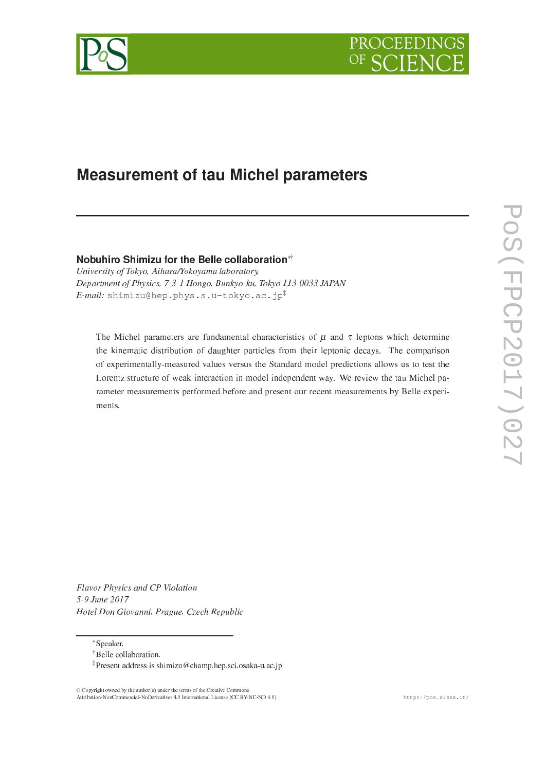



# Measurement of tau Michel parameters

Nobuhiro Shimizu for the Belle collaboration<sup>∗†</sup>

University of Tokyo, Aihara/Yokoyama laboratory, Department of Physi
s, 7-3-1 Hongo, Bunkyo-ku, Tokyo 113-0033 JAPAN  $E$ -mail: shimizu@hep.phys.s.u-tokyo.ac.jp<sup>#</sup>

The Michel parameters are fundamental characteristics of  $\mu$  and  $\tau$  leptons which determine the kinematic distribution of daughter particles from their leptonic decays. The comparison of experimentally-measured values versus the Standard model predi
tions allows us to test the Lorentz structure of weak interaction in model independent way. We review the tau Michel parameter measurements performed before and present our re
ent measurements by Belle experiments.

Flavor Physi
s and CP Violation 5-9 June 2017 Hotel Don Giovanni, Prague, Cze
h Republi

∗Speaker.

© Copyright owned by the author(s) under the terms of the Creative Commons Attribution-NonCommercial-NoDerivatives 4.0 International License (CC BY-NC-ND 4.0). http://pos.sissa.it/

Belle ollaboration.

Present address is shimizu
hamp.hep.s
i.osaka-u.a
.jp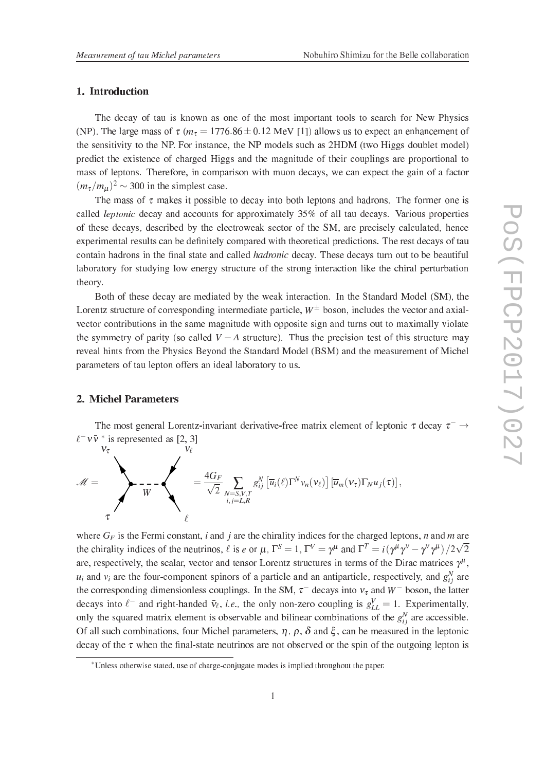# 1. Introduction

The decay of tau is known as one of the most important tools to search for New Physics (NP). The large mass of  $\tau$  ( $m_{\tau} = 1776.86 \pm 0.12$  MeV [1]) allows us to expect an enhancement of the sensitivity to the NP. For instan
e, the NP models su
h as 2HDM (two Higgs doublet model) predi
t the existen
e of harged Higgs and the magnitude of their ouplings are proportional to mass of leptons. Therefore, in comparison with muon decays, we can expect the gain of a factor  $(m_{\tau}/m_{\mu})^2 \sim 300$  in the simplest case.

The mass of  $\tau$  makes it possible to decay into both leptons and hadrons. The former one is called *leptonic* decay and accounts for approximately 35% of all tau decays. Various properties of these decays, described by the electroweak sector of the SM, are precisely calculated, hence experimental results and the community descriptions with the rest constructions. The rest developed and constr ontain hadrons in the films family these control commutative arrange family family function of the beautiful laboratory for studying low energy structure of the strong interaction like the chiral perturbation theory.

Both of these decay are mediated by the weak interaction. In the Standard Model (SM), the Lorentz structure of corresponding intermediate particle,  $W^{\pm}$  boson, includes the vector and axialvector contributions in the same magnitude with opposite sign and turns out to maximally violate the symmetry of parity (so called  $V - A$  structure). Thus the precision test of this structure may reveal hints from the Physics Beyond the Standard Model (BSM) and the measurement of Michel parameters of tau lepton offers an ideal laboratory to us.

# 2. Michel Parameters

The most general Lorentz-invariant derivative-free matrix element of leptonic  $\tau$  decay  $\tau^- \rightarrow$  $\ell^- \nu \bar{\nu}^*$  is represented as [2, 3]

$$
\mathscr{M} = \sum_{\tau} \mathscr{N} \mathscr{N} = \frac{4 G_F}{\sqrt{2} \sum_{\substack{N = S, V, T \\ i, j = L, R}} g_{ij}^N \left[ \overline{u}_i(\ell) \Gamma^N v_n(v_\ell) \right] \left[ \overline{u}_m(v_\tau) \Gamma_N u_j(\tau) \right],
$$

where  $G_F$  is the Fermi constant, *i* and *j* are the chirality indices for the charged leptons, *n* and *m* are the chirality indices of the neutrinos,  $\ell$  is  $e$  or  $\mu$ ,  $\Gamma^S = 1$ ,  $\Gamma^V = \gamma^\mu$  and  $\Gamma^T = i(\gamma^\mu \gamma^\nu - \gamma^\nu \gamma^\mu)/2\sqrt{2}$ are, respectively, the scalar, vector and tensor Lorentz structures in terms of the Dirac matrices  $\gamma$ ,  $u_i$  and  $v_i$  are the four-component spinors of a particle and an antiparticle, respectively, and  $g_{ij}$  are the corresponding dimensionless couplings. In the SM,  $\tau^-$  decays into  $v_{\tau}$  and W<sup>-</sup> boson, the latter decays into  $\ell^-$  and right-handed  $\bar{v}_{\ell}$ , *i.e.*, the only non-zero coupling is  $g_{LL}^V = 1$ . Experimentally, only the squared matrix element is observable and bilinear combinations of the  $g_{ij}^{\dagger}$  are accessible. Of all such combinations, four Michel parameters,  $\eta$ ,  $\rho$ ,  $\delta$  and  $\xi$ , can be measured in the leptonic arrely reduce a correct when the state continuously who have the spin or the spin or the spin or the spin or

<sup>∗</sup>Unless otherwise stated, use of hargeonjugate modes is implied throughout the paper.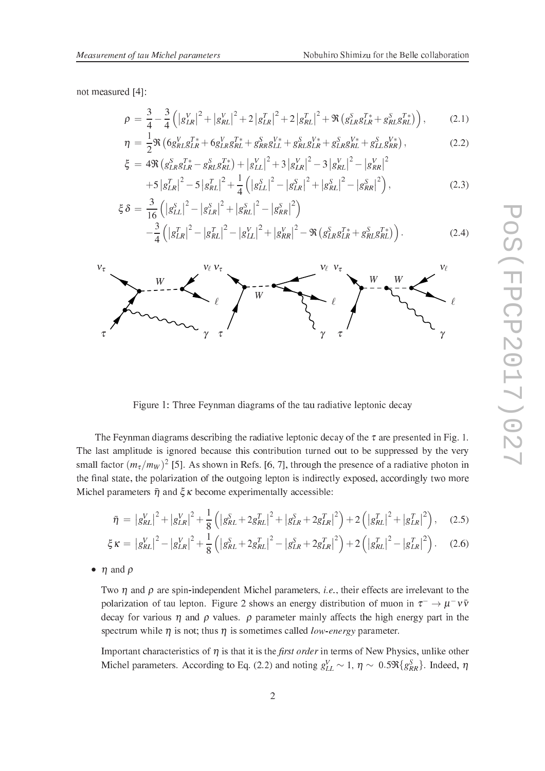not measured [4]:

$$
\rho = \frac{3}{4} - \frac{3}{4} \left( \left| g_{LR}^V \right|^2 + \left| g_{RL}^V \right|^2 + 2 \left| g_{LR}^T \right|^2 + 2 \left| g_{RL}^T \right|^2 + \Re \left( g_{LR}^S g_{LR}^{T*} + g_{RL}^S g_{RL}^{T*} \right) \right), \tag{2.1}
$$

$$
\eta = \frac{1}{2} \Re \left( 6g_{RL}^V g_{LR}^{T*} + 6g_{LR}^V g_{RL}^{T*} + g_{RR}^S g_{LL}^{V*} + g_{RL}^S g_{LR}^{V*} + g_{LR}^S g_{RL}^{V*} + g_{LL}^S g_{RR}^{V*} \right),
$$
\n
$$
\xi = 4 \Re \left( g_{LR}^S g_{LR}^{T*} - g_{RL}^S g_{RL}^{T*} \right) + \left| g_{LL}^V \right|^2 + 3 \left| g_{LR}^V \right|^2 - 3 \left| g_{RL}^V \right|^2 - \left| g_{RR}^V \right|^2
$$
\n(2.2)

$$
= 4\Re\left(g_{LR}^{S}g_{LR}^{T*} - g_{RL}^{S}g_{RL}^{T*}\right) + \left|g_{LL}^{V}\right|^{2} + 3\left|g_{LR}^{V}\right|^{2} - 3\left|g_{RL}^{V}\right|^{2} - \left|g_{RR}^{V}\right|^{2} + 5\left|g_{LR}^{T}\right|^{2} - 5\left|g_{RL}^{T}\right|^{2} + \frac{1}{4}\left(\left|g_{LL}^{S}\right|^{2} - \left|g_{LR}^{S}\right|^{2} + \left|g_{RL}^{S}\right|^{2} - \left|g_{RR}^{S}\right|^{2}\right),\tag{2.3}
$$

$$
\xi \delta = \frac{3}{16} \left( \left| g_{LL}^S \right|^2 - \left| g_{LR}^S \right|^2 + \left| g_{RL}^S \right|^2 - \left| g_{RR}^S \right|^2 \right) - \frac{3}{4} \left( \left| g_{LR}^T \right|^2 - \left| g_{RL}^T \right|^2 - \left| g_{LL}^V \right|^2 + \left| g_{RR}^V \right|^2 - \Re \left( g_{LR}^S g_{LR}^T + g_{RL}^S g_{RL}^T \right) \right).
$$
 (2.4)



Figure 1: Three Feynman diagrams of the tau radiative leptonic decay

The Feynman diagrams describing the radiative leptonic decay of the  $\tau$  are presented in Fig. 1. The last amplitude is ignored because this contribution turned out to be suppressed by the very small factor  $(m_{\tau}/m_W)^2$  [5]. As shown in Refs. [6, 7], through the presence of a radiative photon in the -nal state, the polarization of the outgoing lepton is indire
tly exposed, a

ordingly two more Michel parameters  $\bar{\eta}$  and  $\xi \kappa$  become experimentally accessible:

$$
\bar{\eta} = \left| g_{RL}^V \right|^2 + \left| g_{LR}^V \right|^2 + \frac{1}{8} \left( \left| g_{RL}^S + 2g_{RL}^T \right|^2 + \left| g_{LR}^S + 2g_{LR}^T \right|^2 \right) + 2 \left( \left| g_{RL}^T \right|^2 + \left| g_{LR}^T \right|^2 \right), \quad (2.5)
$$

$$
\xi \kappa = |g_{RL}^V|^2 - |g_{LR}^V|^2 + \frac{1}{8} (|g_{RL}^S + 2g_{RL}^T|^2 - |g_{LR}^S + 2g_{LR}^T|^2) + 2 (|g_{RL}^T|^2 - |g_{LR}^T|^2). \tag{2.6}
$$

•  $\eta$  and  $\rho$ 

Two  $\eta$  and  $\rho$  are spin-independent Michel parameters, *i.e.*, their effects are irrelevant to the polarization of tau lepton. Figure 2 shows an energy distribution of muon in  $\tau^- \to \mu^- \nu \bar{\nu}$ decay for various  $\eta$  and  $\rho$  values.  $\rho$  parameter mainly affects the high energy part in the spectrum while  $\eta$  is not; thus  $\eta$  is sometimes called *low-energy* parameter.

important in terms of the status of new Physical International International International International Intern Michel parameters. According to Eq. (2.2) and noting  $g_{LL}^V \sim 1$ ,  $\eta \sim 0.5 \Re\{g_{RR}^S\}$ . Indeed,  $\eta$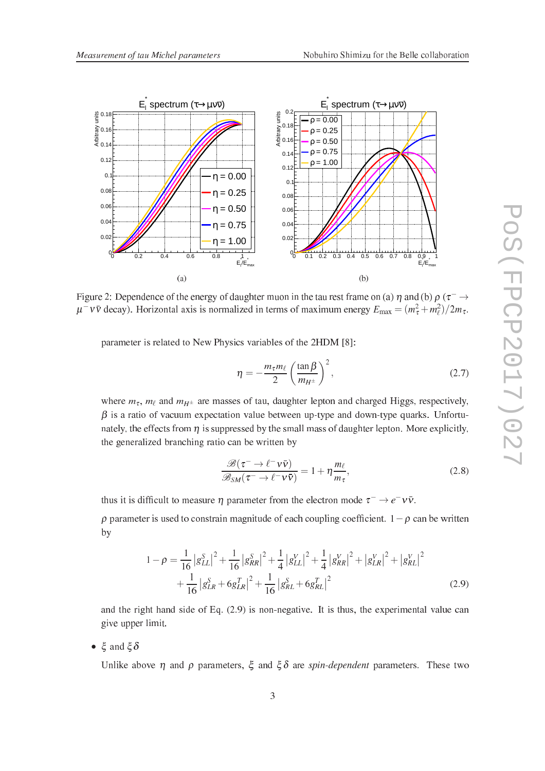

Figure 2: Dependence of the energy of daughter muon in the tau rest frame on (a)  $\eta$  and (b)  $\rho$  ( $\tau^- \rightarrow$  $\mu^- \nu \bar{\nu}$  decay). Horizontal axis is normalized in terms of maximum energy  $E_{\rm max} = (m_{\tau}^2 + m_{\ell}^2)/2m_{\tau}$ .

parameter is related to New Physics variables of the 2HDM [8]:

$$
\eta = -\frac{m_{\tau}m_{\ell}}{2} \left(\frac{\tan\beta}{m_{H^{\pm}}} \right)^2, \tag{2.7}
$$

where  $m_{\tau}$ ,  $m_{\ell}$  and  $m_{H^{\pm}}$  are masses of tau, daughter lepton and charged Higgs, respectively,  $\beta$  is a ratio of vacuum expectation value between up-type and down-type quarks. Unfortunately, the effects from  $\eta$  is suppressed by the small mass of daughter lepton. More explicitly, the generalized bran
hing ratio an be written by

$$
\frac{\mathcal{B}(\tau^- \to \ell^- \nu \bar{\nu})}{\mathcal{B}_{SM}(\tau^- \to \ell^- \nu \bar{\nu})} = 1 + \eta \frac{m_\ell}{m_\tau},\tag{2.8}
$$

thus it is difficult to measure  $\eta$  parameter from the electron mode  $\tau^- \to e^- \nu \bar{\nu}$ .

 $\rho$  parameter is used to constrain magnitude of each coupling coefficient.  $1 - \rho$  can be written by

$$
1 - \rho = \frac{1}{16} |g_{LL}^{S}|^{2} + \frac{1}{16} |g_{RR}^{S}|^{2} + \frac{1}{4} |g_{LL}^{V}|^{2} + \frac{1}{4} |g_{RR}^{V}|^{2} + |g_{LR}^{V}|^{2} + |g_{RL}^{V}|^{2} + \frac{1}{16} |g_{LR}^{S} + 6g_{LR}^{T}|^{2} + \frac{1}{16} |g_{RL}^{S} + 6g_{RL}^{T}|^{2}
$$
\n(2.9)

and the right hand side of Eq. (2.9) is non-negative. It is thus, the experimental value an give upper limit.

•  $\xi$  and  $\xi \delta$ 

Unlike above  $\eta$  and  $\rho$  parameters,  $\xi$  and  $\xi \delta$  are spin-dependent parameters. These two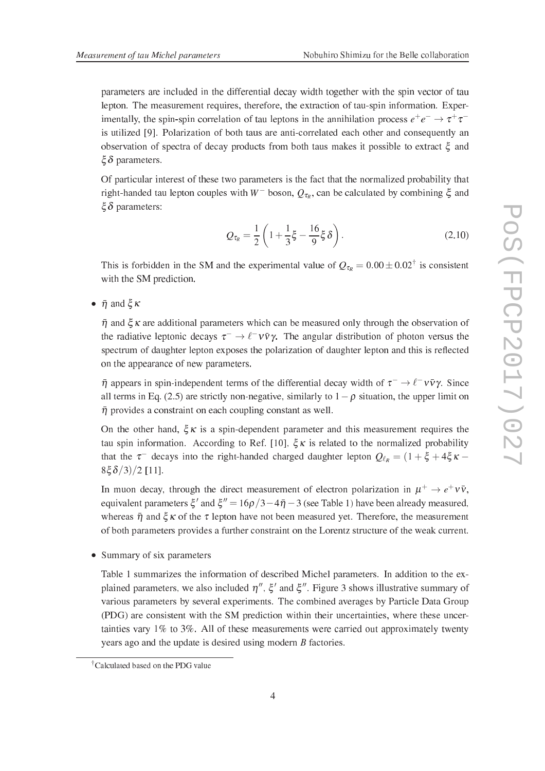parameters are in
luded in the differential de
ay width together with the spin ve
tor of tau lepton. The measurement requires, therefore, the extraction of tau-spin information. Experimentally, the spin-spin correlation of tau leptons in the annihilation process  $e^+e^- \rightarrow \tau^+\tau^$ is utilized [9]. Polarization of both taus are anti-correlated each other and consequently an observation of spectra of decay products from both taus makes it possible to extract  $\xi$  and  $\xi \delta$  parameters.

Of particular interest of these two parameters is the fact that the normalized probability that right-handed tau lepton couples with W<sup>-</sup> boson,  $Q_{\tau_R}$ , can be calculated by combining  $\xi$  and  $\xi \delta$  parameters:

$$
Q_{\tau_R} = \frac{1}{2} \left( 1 + \frac{1}{3} \xi - \frac{16}{9} \xi \delta \right).
$$
 (2.10)

This is forbidden in the SM and the experimental value of  $Q_{\tau_R} = 0.00 \pm 0.02^{\dagger}$  is consistent with the SM prediction.

•  $\bar{\eta}$  and  $\xi \kappa$ 

 $\bar{\eta}$  and  $\zeta \kappa$  are additional parameters which can be measured only through the observation of the radiative leptonic decays  $\tau^- \to \ell^- \nu \bar{\nu} \gamma$ . The angular distribution of photon versus the spectrum of daughter lepton exposes the polarization of daughter lepton and this is reflected on the appearan
e of new parameters.

 $\bar{\eta}$  appears in spin-independent terms of the differential decay width of  $\tau^- \to \ell^- \nu \bar{\nu} \gamma$ . Since all terms in Eq. (2.5) are strictly non-negative, similarly to  $1 - \rho$  situation, the upper limit on  $\bar{\eta}$  provides a constraint on each coupling constant as well.

On the other hand,  $\xi \kappa$  is a spin-dependent parameter and this measurement requires the tau spin information. According to Ref. [10],  $\xi \kappa$  is related to the normalized probability that the  $\tau^-$  decays into the right-handed charged daughter lepton  $Q_{\ell_R} = (1 + \xi + 4\xi\kappa 8\xi \delta /3)/2$  [11].

In muon decay, through the direct measurement of electron polarization in  $\mu^+ \to e^+ \nu \bar{\nu}$ , equivalent parameters  $\xi'$  and  $\xi'' = 16\rho/3 - 4\bar{\eta} - 3$  (see Table 1) have been already measured, whereas  $\bar{\eta}$  and  $\xi \kappa$  of the  $\tau$  lepton have not been measured yet. Therefore, the measurement of both parameters provides a further constraint on the Lorentz structure of the weak current.

• Summary of six parameters

Table 1 summarizes the information of des
ribed Mi
hel parameters. In addition to the explained parameters, we also included  $\eta''$ ,  $\xi'$  and  $\xi''$ . Figure 3 shows illustrative summary of various parameters by several experiments. The ombined averages by Parti
le Data Group (PDG) are consistent with the SM prediction within their uncertainties, where these uncertainties vary 1% to 3%. All of these measurements were arried out approximately twenty years ago and the update is desired using modern *B* factories.

Cal
ulated based on the PDG value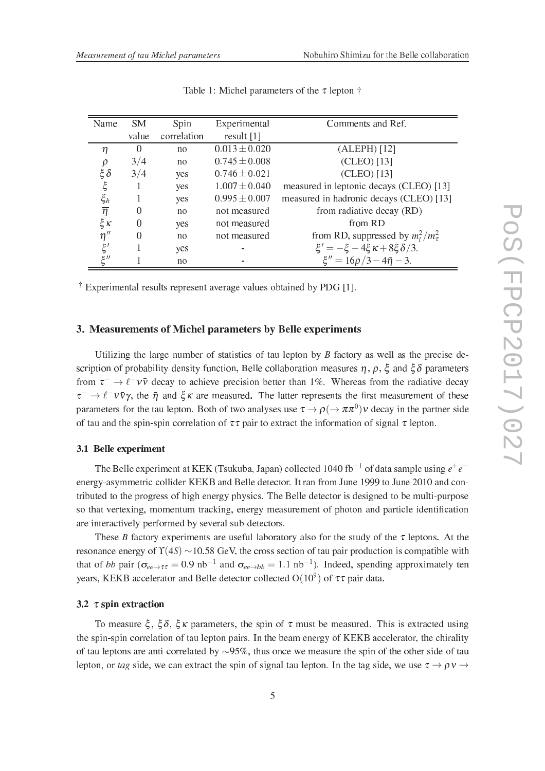| Name                  | <b>SM</b> | Spin        | Experimental      | Comments and Ref.                            |  |
|-----------------------|-----------|-------------|-------------------|----------------------------------------------|--|
|                       | value     | correlation | result $[1]$      |                                              |  |
| η                     | $\theta$  | no          | $0.013 \pm 0.020$ | $(ALEPH)$ [12]                               |  |
| ρ                     | 3/4       | no          | $0.745 \pm 0.008$ | (CLEO) [13]                                  |  |
| $\mathcal{\xi}\delta$ | 3/4       | yes         | $0.746 \pm 0.021$ | (CLEO) [13]                                  |  |
| ξ                     |           | yes         | $1.007 \pm 0.040$ | measured in leptonic decays (CLEO) [13]      |  |
| $\xi_h$               |           | yes         | $0.995 \pm 0.007$ | measured in hadronic decays (CLEO) [13]      |  |
| $\overline{\eta}$     | 0         | no          | not measured      | from radiative decay (RD)                    |  |
| $\xi$ K               | 0         | yes         | not measured      | from RD                                      |  |
| $\eta''$              | 0         | no          | not measured      | from RD, suppressed by $m_l^2/m_{\tau}^2$    |  |
| $\xi'$                |           | yes         |                   | $\xi' = -\xi - 4\xi \kappa + 8\xi \delta/3.$ |  |
| ااع                   |           | no          |                   | $\xi'' = 16\rho/3 - 4\bar{\eta} - 3.$        |  |

Table 1: Michel parameters of the  $\tau$  lepton  $\dagger$ 

 $\pm$  Experimental results represent average values obtained by PDG [1].

# 3. Measurements of Mi
hel parameters by Belle experiments

Utilizing the large number of statistics of tau lepton by  $B$  factory as well as the precise description of probability density function, Belle collaboration measures  $\eta$ ,  $\rho$ ,  $\xi$  and  $\xi \delta$  parameters from  $\tau^- \to \ell^- \nu \bar{\nu}$  decay to achieve precision better than 1%. Whereas from the radiative decay  $\tau^- \to \ell^- \nu \bar{\nu} \gamma$ , the  $\bar{\eta}$  and  $\xi \kappa$  are measured. The latter represents the first measurement of these parameters for the tau lepton. Both of two analyses use  $\tau \to \rho \, (\to \pi \pi^0) \nu$  decay in the partner side of tau and the spin-spin correlation of  $\tau\tau$  pair to extract the information of signal  $\tau$  lepton.

#### 3.1 Belle experiment

The Belle experiment at KEK (Tsukuba, Japan) collected 1040 fb<sup>-1</sup> of data sample using  $e^+e^$ energy-asymmetric collider KEKB and Belle detector. It ran from June 1999 to June 2010 and contributed to the progress of high energy physi
s. The Belle dete
tor is designed to be multi-purpose so that vertexing, momentum tra
king, energy measurement of photon and parti
le identi-ation are interactively performed by several sub-detectors.

These B factory experiments are useful laboratory also for the study of the  $\tau$  leptons. At the resonance energy of  $\Upsilon(4S) \sim 10.58$  GeV, the cross section of tau pair production is compatible with that of bb pair ( $\sigma_{ee \to \tau\tau} = 0.9 \text{ nb}^{-1}$  and  $\sigma_{ee \to bb} = 1.1 \text{ nb}^{-1}$ ). Indeed, spending approximately ten years, KEKB accelerator and Belle detector collected  $O(10^9)$  of  $\tau\tau$  pair data.

#### 3.2  $\tau$  spin extraction

To measure  $\xi$ ,  $\xi \delta$ ,  $\xi \kappa$  parameters, the spin of  $\tau$  must be measured. This is extracted using the spin-spin correlation of tau lepton pairs. In the beam energy of KEKB accelerator, the chirality of tau leptons are antiorrelated by ∼95%, thus on
e we measure the spin of the other side of tau lepton, or tag side, we can extract the spin of signal tau lepton. In the tag side, we use  $\tau \rightarrow \rho v \rightarrow$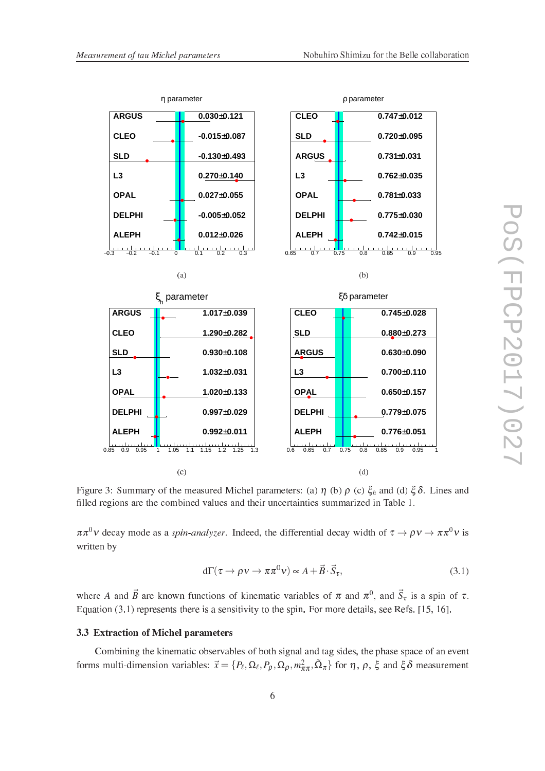

Figure 3: Summary of the measured Michel parameters: (a)  $\eta$  (b)  $\rho$  (c)  $\xi_h$  and (d)  $\xi \delta$ . Lines and -lled regions are the ombined values and their un
ertainties summarized in Table 1.

 $\pi\pi^{\circ}\nu$  decay mode as a *spin-analyzer*. Indeed, the differential decay width of  $\tau \to \rho \nu \to \pi\pi^{\circ}\nu$  is written by

$$
d\Gamma(\tau \to \rho \nu \to \pi \pi^0 \nu) \propto A + \vec{B} \cdot \vec{S}_{\tau}, \tag{3.1}
$$

where A and  $\vec{B}$  are known functions of kinematic variables of  $\pi$  and  $\pi^0$ , and  $\vec{S}_{\tau}$  is a spin of  $\tau$ . Equation  $(3.1)$  represents there is a sensitivity to the spin. For more details, see Refs. [15, 16].

#### 3.3 Extraction of Michel parameters

Combining the kinematic observables of both signal and tag sides, the phase space of an event forms multi-dimension variables:  $\vec{x} = \{P_\ell, \Omega_\ell, P_\rho, \Omega_\rho, m_{\pi\pi}^2, \Omega_\pi\}$  for  $\eta$ ,  $\rho$ ,  $\xi$  and  $\xi \delta$  measurement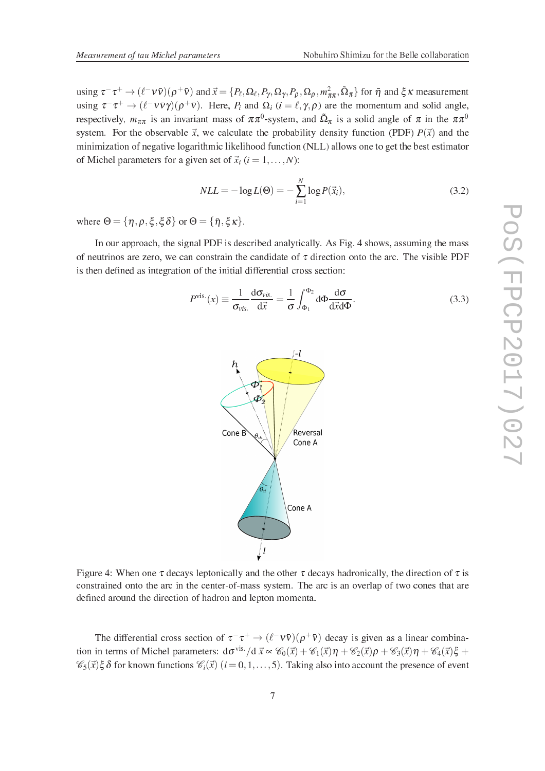using  $\tau^-\tau^+\to (\ell^-\nu\bar{\nu})(\rho^+\bar{\nu})$  and  $\vec{x}=\{P_\ell,\Omega_\ell,P_\gamma,\Omega_\gamma,P_\rho,\Omega_\rho,m_{\pi\pi}^2,\tilde{\Omega}_\pi\}$  for  $\bar{\eta}$  and  $\xi\kappa$  measurement using  $\tau^- \tau^+ \to (\ell^- \nu \bar{\nu} \gamma)(\rho^+ \bar{\nu})$ . Here,  $P_i$  and  $\Omega_i$   $(i = \ell, \gamma, \rho)$  are the momentum and solid angle, respectively,  $m_{\pi\pi}$  is an invariant mass of  $n\pi$  -system, and  $\Omega_{\pi}$  is a solid angle of  $n$  in the  $nn$ system. For the observable  $\vec{x}$ , we calculate the probability density function (PDF)  $P(\vec{x})$  and the minimization of negative logarithmic likelihood function (NLL) allows one to get the best estimator of Michel parameters for a given set of  $\vec{x}_i$  ( $i = 1, \ldots, N$ ):

$$
NLL = -\log L(\Theta) = -\sum_{i=1}^{N} \log P(\vec{x}_i),\tag{3.2}
$$

where  $\Theta = {\eta, \rho, \xi, \xi \delta}$  or  $\Theta = {\bar{\eta}, \xi \kappa}$ .

In our approach, the signal PDF is described analytically. As Fig. 4 shows, assuming the mass of neutrinos are zero, we can constrain the candidate of  $\tau$  direction onto the arc. The visible PDF is then de-ned as integration of the initial differential ross se
tion:

$$
P^{\text{vis.}}(x) \equiv \frac{1}{\sigma_{\text{vis.}}} \frac{d\sigma_{\text{vis.}}}{d\vec{x}} = \frac{1}{\sigma} \int_{\Phi_1}^{\Phi_2} d\Phi \frac{d\sigma}{d\vec{x} d\Phi}.
$$
 (3.3)



Figure 4: When one  $\tau$  decays leptonically and the other  $\tau$  decays hadronically, the direction of  $\tau$  is constrained onto the arc in the center-of-mass system. The arc is an overlap of two cones that are de-ned around the dire
tion of hadron and lepton momenta.

The differential cross section of  $\tau^- \tau^+ \to (\ell^- \nu \bar{\nu}) (\rho^+ \bar{\nu})$  decay is given as a linear combination in terms of Michel parameters:  $d\sigma^{vis.}/d \vec{x} \propto \mathcal{C}_0(\vec{x}) + \mathcal{C}_1(\vec{x})\eta + \mathcal{C}_2(\vec{x})\rho + \mathcal{C}_3(\vec{x})\eta + \mathcal{C}_4(\vec{x})\xi +$  $\mathscr{C}_5(\vec{x})\xi\delta$  for known functions  $\mathscr{C}_i(\vec{x})$   $(i = 0, 1, ..., 5)$ . Taking also into account the presence of event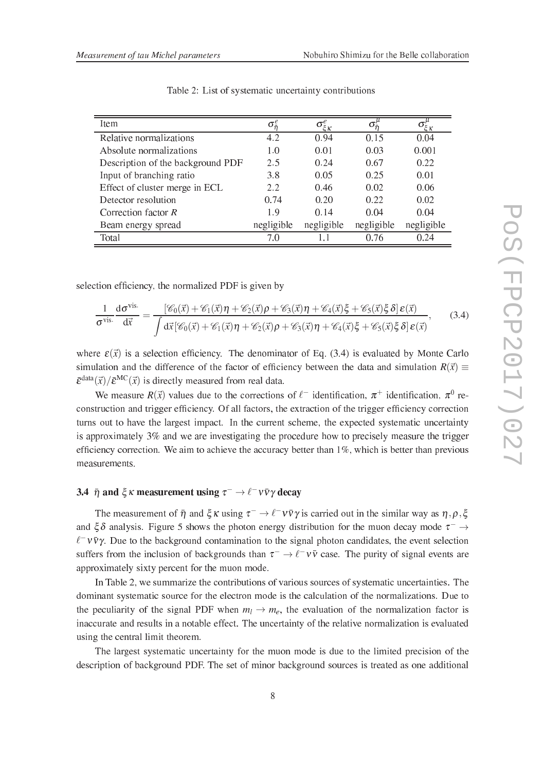| <b>Item</b>                       | $\sigma^e$ | $\sigma_{\xi\kappa}^e$ | 0          | ζΚ         |
|-----------------------------------|------------|------------------------|------------|------------|
| Relative normalizations           | 4.2        | 0.94                   | 0.15       | 0.04       |
| Absolute normalizations           | 1.0        | 0.01                   | 0.03       | 0.001      |
| Description of the background PDF | 2.5        | 0.24                   | 0.67       | 0.22       |
| Input of branching ratio          | 3.8        | 0.05                   | 0.25       | 0.01       |
| Effect of cluster merge in ECL    | 2.2        | 0.46                   | 0.02       | 0.06       |
| Detector resolution               | 0.74       | 0.20                   | 0.22       | 0.02       |
| Correction factor $R$             | 1.9        | 0.14                   | 0.04       | 0.04       |
| Beam energy spread                | negligible | negligible             | negligible | negligible |
| Total                             | 70         |                        | 0.76       | 0.24       |

Table 2: List of systematic uncertainty contributions

sele
tion ef-ien
y, the normalized PDF is given by

$$
\frac{1}{\sigma^{\text{vis.}}}\frac{d\sigma^{\text{vis.}}}{d\vec{x}} = \frac{[\mathscr{C}_{0}(\vec{x}) + \mathscr{C}_{1}(\vec{x})\eta + \mathscr{C}_{2}(\vec{x})\rho + \mathscr{C}_{3}(\vec{x})\eta + \mathscr{C}_{4}(\vec{x})\xi + \mathscr{C}_{5}(\vec{x})\xi\delta]\epsilon(\vec{x})}{\int d\vec{x}[\mathscr{C}_{0}(\vec{x}) + \mathscr{C}_{1}(\vec{x})\eta + \mathscr{C}_{2}(\vec{x})\rho + \mathscr{C}_{3}(\vec{x})\eta + \mathscr{C}_{4}(\vec{x})\xi + \mathscr{C}_{5}(\vec{x})\xi\delta]\epsilon(\vec{x})},
$$
(3.4)

where  $\varepsilon(\vec{x})$  is a selection efficiency. The denominator of Eq. (3.4) is evaluated by Monte Carlo simulation and the difference of the factor of efficiency between the data and simulation  $R(\vec{x}) \equiv$  $\bar{\varepsilon}^{\text{data}}(\vec{x})/\bar{\varepsilon}^{\text{MC}}(\vec{x})$  is directly measured from real data.

We measure  $R(\vec{x})$  values due to the corrections of  $\ell^-$  identification,  $\pi^+$  identification,  $\pi^0$  retion and the trigger effectively. The effectively the the trigger effectively contributed turns out to have the largest impact. In the current scheme, the expected systematic uncertainty is approximately 3% and we are investigating the procedure how to precisely measure the trigger ef-better than 1 which is better than 1 which is better than 1 which is better than 1 which is better than 1 measurements.

# 3.4  $\bar{\eta}$  and  $\xi \kappa$  measurement using  $\tau^- \to \ell^- \nu \bar{\nu} \gamma$  decay

The measurement of  $\bar{\eta}$  and  $\xi \kappa$  using  $\tau^- \to \ell^- \nu \bar{\nu} \gamma$  is carried out in the similar way as  $\eta, \rho, \xi$ and  $\zeta \delta$  analysis. Figure 5 shows the photon energy distribution for the muon decay mode  $\tau^- \rightarrow$  $\ell^- \nu \bar{\nu} \gamma$ . Due to the background contamination to the signal photon candidates, the event selection suffers from the inclusion of backgrounds than  $\tau^- \to \ell^- \nu \bar{\nu}$  case. The purity of signal events are approximately sixty per
ent for the muon mode.

In Table 2, we summarize the ontributions of various sour
es of systemati un
ertainties. The dominant systematic source for the electron mode is the calculation of the normalizations. Due to the peculiarity of the signal PDF when  $m_l \to m_e$ , the evaluation of the normalization factor is inaccurate and results in a notable effect. The uncertainty of the relative normalization is evaluated using the entral limit theorem.

The largest systemati un
ertainty for the muon mode is due to the limited pre
ision of the des
ription of ba
kground PDF. The set of minor ba
kground sour
es is treated as one additional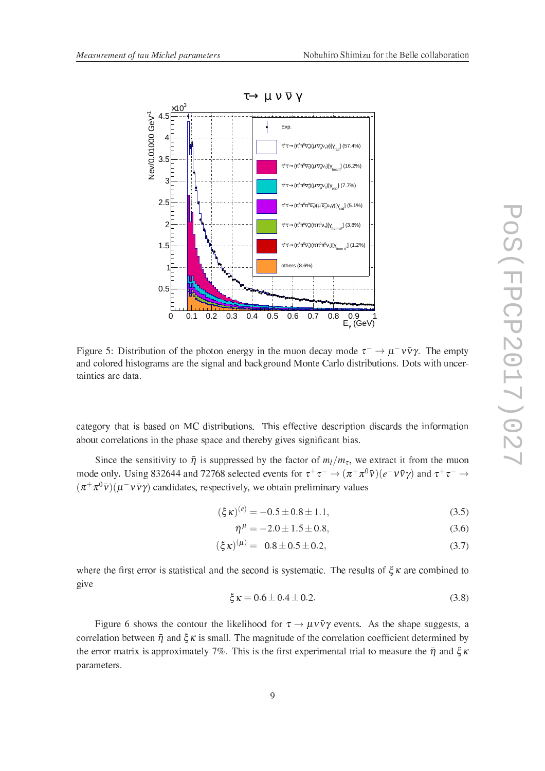

Figure 5: Distribution of the photon energy in the muon decay mode  $\tau^- \to \mu^- \nu \bar{\nu} \gamma$ . The empty and colored histograms are the signal and background Monte Carlo distributions. Dots with uncertainties are data.

category that is based on MC distributions. This effective description discards the information about orrelations in the phase spa
e and thereby gives signi-ant bias.

Since the sensitivity to  $\bar{\eta}$  is suppressed by the factor of  $m_l/m_{\tau}$ , we extract it from the muon mode only. Using 832644 and 72768 selected events for  $\tau^+\tau^- \to (\pi^+\pi^0\bar{\nu})(e^-\nu\bar{\nu}\gamma)$  and  $\tau^+\tau^- \to$  $(\pi^+\pi^0\bar{v}) (\mu^-v\bar{v}\gamma)$  candidates, respectively, we obtain preliminary values

$$
(\xi \kappa)^{(e)} = -0.5 \pm 0.8 \pm 1.1,\tag{3.5}
$$

$$
\bar{\eta}^{\mu} = -2.0 \pm 1.5 \pm 0.8,\tag{3.6}
$$

$$
(\xi \kappa)^{(\mu)} = 0.8 \pm 0.5 \pm 0.2, \tag{3.7}
$$

. The statistic conditions of the results of the second is systematic statistic statistic conditions of give

$$
\xi \kappa = 0.6 \pm 0.4 \pm 0.2. \tag{3.8}
$$

Figure 6 shows the contour the likelihood for  $\tau \to \mu \nu \bar{\nu} \gamma$  events. As the shape suggests, a orrelation cell. And it and the magnitude of the magnitude of the eclisionicity economics association of the  $\bm{m}$  are matrix is approximately 7%. This is the information and  $\bm{m}$  to measure  $\bm{m}$  and  $\bm{\eta}$  and  $\bm{\eta}$ parameters.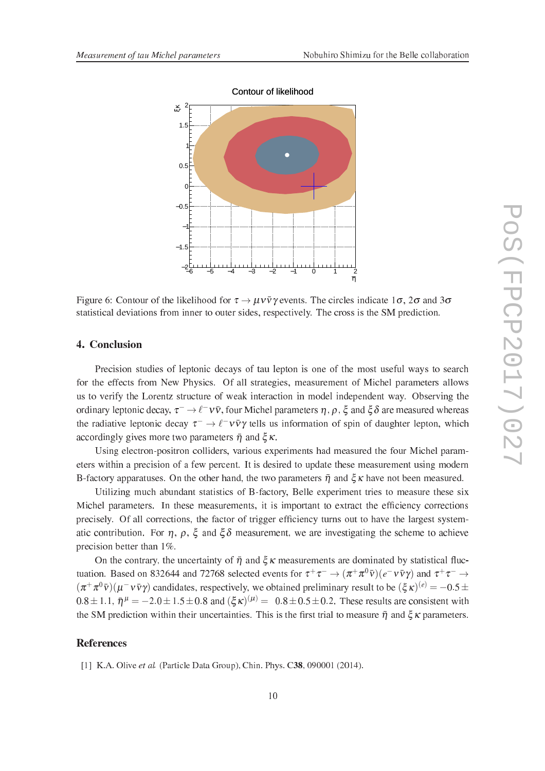

Contour of likelihood

Figure 6: Contour of the likelihood for  $\tau \to \mu \nu \bar{\nu} \gamma$  events. The circles indicate  $1\sigma$ ,  $2\sigma$  and  $3\sigma$ statistical deviations from inner to outer sides, respectively. The cross is the SM prediction.

# 4. Con
lusion

Precision studies of leptonic decays of tau lepton is one of the most useful ways to search for the effects from New Physics. Of all strategies, measurement of Michel parameters allows us to verify the Lorentz stru
ture of weak intera
tion in model independent way. Observing the ordinary leptonic decay,  $\tau^ \to$   $\ell^ \nu$   $\bar{\nu}$ , four Michel parameters  $\eta$  ,  $\rho$  ,  $\xi$  and  $\xi\delta$  are measured whereas the radiative leptonic decay  $\tau^- \to \ell^- \nu \bar{\nu} \gamma$  tells us information of spin of daughter lepton, which accordingly gives more two parameters  $\bar{\eta}$  and  $\zeta_K$ .

Using electron-positron colliders, various experiments had measured the four Michel parameters within a pre
ision of a few per
ent. It is desired to update these measurement using modern B-factory apparatuses. On the other hand, the two parameters  $\bar{\eta}$  and  $\xi \kappa$  have not been measured.

Utilizing much abundant statistics of B-factory, Belle experiment tries to measure these six recence parameters. In diese meest meeste meeste sy in the mosp column is indicated and concernance pre
isely. Of all orre
tions, the fa
tor of trigger ef-ien
y turns out to have the largest systematic contribution. For  $\eta$ ,  $\rho$ ,  $\xi$  and  $\xi \delta$  measurement, we are investigating the scheme to achieve precision better than  $1\%$ .

On the contrary, the uncertainty of  $\bar{\eta}$  and  $\zeta_K$  measurements are dominated by statistical fluctuation. Based on 832644 and 72768 selected events for  $\tau^+\tau^- \to (\pi^+\pi^0\bar{\nu})(e^-\nu\bar{\nu}\gamma)$  and  $\tau^+\tau^- \to$  $(\pi^+\pi^0\bar{v})(\mu^-\nu\bar{v}\gamma)$  candidates, respectively, we obtained preliminary result to be  $(\xi\kappa)^{(e)} = -0.5 \pm$ 0.8 ± 1.1,  $\bar{\eta}^{\mu}$  = −2.0 ± 1.5 ± 0.8 and  $(\xi \kappa)^{(\mu)}$  = 0.8 ± 0.5 ± 0.2. These results are consistent with the SM prediction their user with the communest the state is the most to meet of the state of a persuade that

## **References**

[1] K.A. Olive et al. (Particle Data Group), Chin. Phys. C38, 090001 (2014).